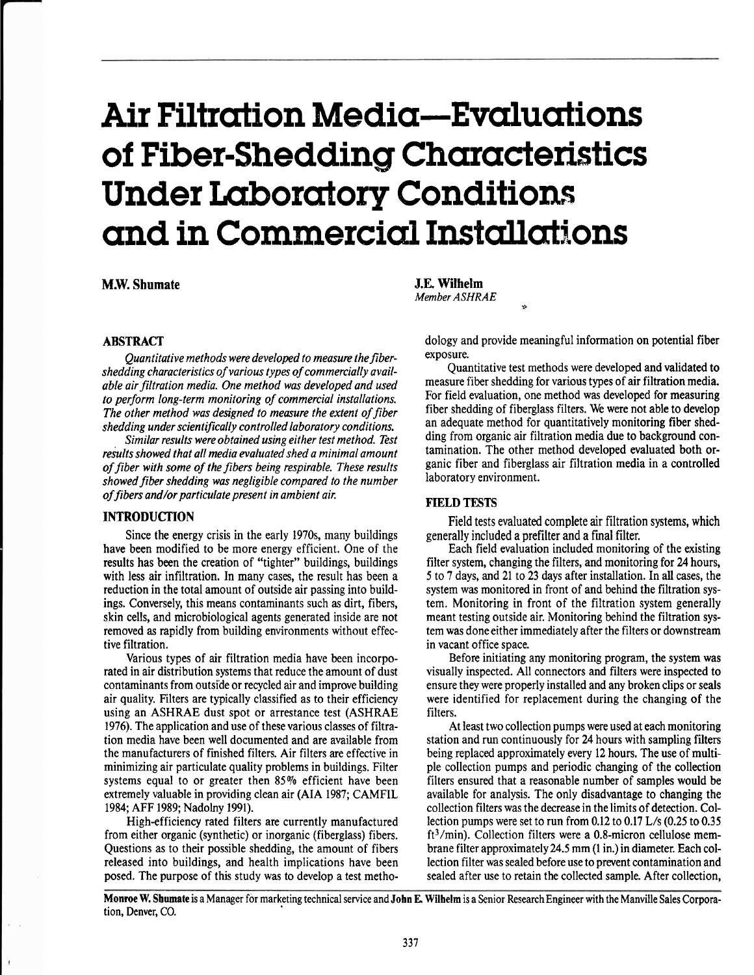# Air Filtration Media—Evaluations of Fiber-Shedding Characteristics Under Laboratory Conditions and in Commercial Installations

**M.W. Shumate** 

# **ABSTRACT**

*Quantitative methods were developed to measure the fibershedding characteristics of various types of commercially available airfiltration media. One method was developed and used to perform long-term monitoring of commercial installations. The other method was designed to measure the extent of fiber shedding under scientifically controlled laboratory conditions.* 

*Similar results were obtained using either test method. Test results showed that all media evaluated shed a minimal amount of fiber with some of the fibers being respirable. These results*  showed fiber shedding was negligible compared to the number *of fibers and/or particulate present in ambient air.* 

#### **INTRODUCTION**

Since the energy crisis in the early 1970s, many buildings have been modified to be more energy efficient. One of the results has been the creation of "tighter" buildings, buildings with less air infiltration. In many cases, the result has been a reduction in the total amount of outside air passing into buildings. Conversely, this means contaminants such as dirt, fibers, skin cells, and microbiological agents generated inside are not removed **as** rapidly from building environments without effective filtration.

Various types of air filtration media have been incorporated in air distribution systems that reduce the amount of dust contaminants from outside or recycled air and improve building air quality. Filters are typically classified as to their efficiency using an ASHRAE dust spot or arrestance test (ASHRAE 1976). The application and use of these various classes of filtration media have been well documented and are available from the manufacturers of finished filters. Air filters are effective in minimizing air particulate quality problems in buildings. Filter systems equal to or greater then 85% efficient have been extremely valuable in providing clean air (AIA 1987; CAMFIL 1984; AFF 1989; Nadolny 1991).

High-efficiency rated filters are currently manufactured from either organic (synthetic) or inorganic (fiberglass) fibers. Questions as to their possible shedding, the amount of fibers released into buildings, and health implications have been posed. The purpose of this study was to develop a test metho**J.E. Wilhelm**  *Member* **ASHRAE <sup>P</sup>**

dology and provide meaningful information on potential fiber exposure.

Quantitative test methods were developed and validated to measure fiber shedding for various types of air filtration media. For field evaluation, one method was developed for measuring fiber shedding of fiberglass filters. We were not able to develop an adequate method for quantitatively monitoring fiber shedding from organic air filtration media due to background contamination. The other method developed evaluated both organic fiber and fiberglass air filtration media in a controlled laboratory environment.

# **FIELD TESTS**

Field tests evaluated complete air filtration systems, which generally included a prefilter and a final filter.

Each field evaluation included monitoring of the existing filter system, changing the filters, and monitoring for 24 hours, 5 to **7** days, and 21 to 23 days after installation. In all cases, the system was monitored in front of and behind the filtration system. Monitoring in front of the filtration system generally meant testing outside air. Monitoring behind the filtration system was done either immediately after the filters or downstream in vacant office space.

Before initiating any monitoring program, the system was visually inspected. All connectors and filters were inspected to ensure they were properly installed and any broken clips or seals were identified for replacement during the changing of the filters.

At least two collection pumps were used at each monitoring station and run continuously for 24 hours with sampling filters being replaced approximately every 12 hours. The use of multiple collection pumps and periodic changing of the collection filters ensured that a reasonable number of samples would be available for analysis. The only disadvantage to changing the collection filters was the decrease in the limits of detection. Collection pumps were set to run from 0.12 to 0.17 L/s (0.25 to 0.35 ft<sup>3</sup>/min). Collection filters were a 0.8-micron cellulose membrane filter approximately 24.5 mm (1 in.) in diameter. Each collection filter was sealed before use to prevent contamination and sealed after use to retain the collected sample. After collection,

**Monroe W. Shumate** is a Manager for marketing technical service and **John E. Wilhelm is** a Senior ResearchEngineer with the Manviile Sales Corporation, Denver, CO.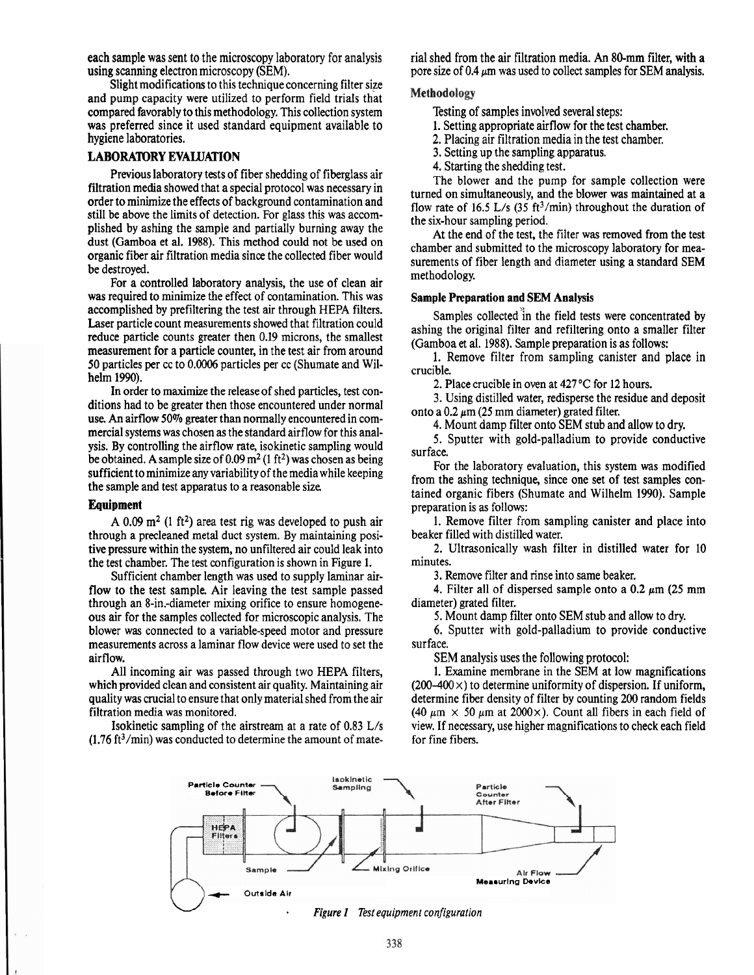Slight modifications to this technique concerning filter size and pump capacity were utilized to perform field trials that compared favorably to this methodology. This collection system Testing of samples involved several steps:<br>was preferred since it used standard equipment available to 1. Setting appropriate airflow for the test chamber. was preferred since it used standard equipment available to hygiene laboratories.

# **LABORATORY EVALUATION**

Previous laboratory tests of fiber shedding of fiberglass air filtration media showed that a special protocol was necessary in order to minimize the effects of background contamination and still be above the limits of detection. For glass this was accomplished by ashing the sample and partially burning away the dust (Garnboa et al. 1988). This method could not be used on organic fiber air filtration media since the collected fiber would be destroyed.

For a controlled laboratory analysis, the use of clean air was required to minimize the effect of contamination. This was accomplished by prefiltering the test air through HEPA filters. Laser particle count measurements showed that filtration could reduce particle counts greater then 0.19 microns, the smallest measurement for a particle counter, in the test air from around 50 particles per cc to 0.0006 particles per cc (Shumate and Wilhelm 1990).

In order to maximize the release of shed particles, test conditions had to be greater then those encountered under normal use. An airflow 50% greater than normally encountered in commercial systems was chosen as the standard airflow for this analysis. By controlling the airflow rate, isokinetic sampling would be obtained. A sample size of  $0.09 \text{ m}^2$  (1 ft<sup>2</sup>) was chosen as being sufficient to minimize any variability of the media while keeping the sample and test apparatus to a reasonable size

#### **Equipment**

A 0.09 m<sup>2</sup> (1 ft<sup>2</sup>) area test rig was developed to push air through a precleaned metal duct system. By maintaining positive pressure within the system, no unfiltered air could leak into the test chamber. The test configuration is shown in Figure 1.

Sufficient chamber length was used to supply laminar airflow to the test sample. Air leaving the test sample passed through an 8-in.-diameter mixing orifice to ensure homogeneous air for the samples collected for microscopic analysis. The blower was connected to a variable-speed motor and pressure measurements across a laminar flow device were used to set the airflow.

All incoming air was passed through two HEPA filters, which provided clean and consistent air quality. Maintaining air quality was crucial to ensure that only material shed from the air filtration media was monitored.

Isokinetic sampling of the airstream at a rate of 0.83 L/s  $(1.76 \text{ ft}^3/\text{min})$  was conducted to determine the amount of mate-

each sample was sent to the microscopy laboratory for analysis rial shed from the air filtration media. An 80-mm filter, with a using scanning electron microscopy (SEM).<br>pore size of 0.4  $\mu$ m was used to collect samples f pore size of 0.4  $\mu$ m was used to collect samples for SEM analysis.

#### Methodology

- 
- 2. Placing air filtration media in the test chamber.
- 3. Setting up the sampling apparatus.
- 4. Starting the shedding test.

The blower and the pump for sample collection were turned on simultaneously, and the blower was maintained at a flow rate of 16.5 L/s  $(35 \text{ ft}^3/\text{min})$  throughout the duration of the six-hour sampling period.

At the end of the test, the filter was removed from the test chamber and submitted to the microscopy laboratory for measurements of fiber length and diameter using a standard SEM methodology.

### Sample Preparation and **SEM** Analysis

Samples collected in the field tests were concentrated by ashing the original filter and refiltering onto a smaller filter (Gamboa **et** al. 1988). Sample preparation is as follows:

1. Remove filter from sampling canister and place in crucible.

2. Place crucible in oven at 427 **'C** for 12 hours.

3. Using distilled water, redisperse the residue and deposit onto a  $0.2 \mu m$  (25 mm diameter) grated filter.

4. Mount damp filter onto SEM stub and allow to dry.

5. Sputter with gold-palladium to provide conductive surface.

For the laboratory evaluation, this system was modified from the ashing technique, since one set of test samples contained organic fibers (Shumate and Wilhelm 1990). Sample preparation is as follows:

1. Remove filter from sampling canister and place into beaker filled with distilled water.

**2.** Ultrasonically wash filter in distilled water for 10 minutes.

**3.** Remove filter and rinse into same beaker.

4. Filter all of dispersed sample onto a  $0.2 \mu m$  (25 mm) diameter) grated filter.

5. Mount damp filter onto SEM stub and allow to dry.

*6.* Sputter with gold-palladium to provide conductive surface.

SEM analysis uses the following protocol:

1. Examine membrane in the SEM at low magnifications  $(200-400 \times)$  to determine uniformity of dispersion. If uniform, determine fiber density of filter by counting 200 random fields (40  $\mu$ m  $\times$  50  $\mu$ m at 2000 $\times$ ). Count all fibers in each field of view. If necessary, use higher magnifications to check each field for fine fibers.

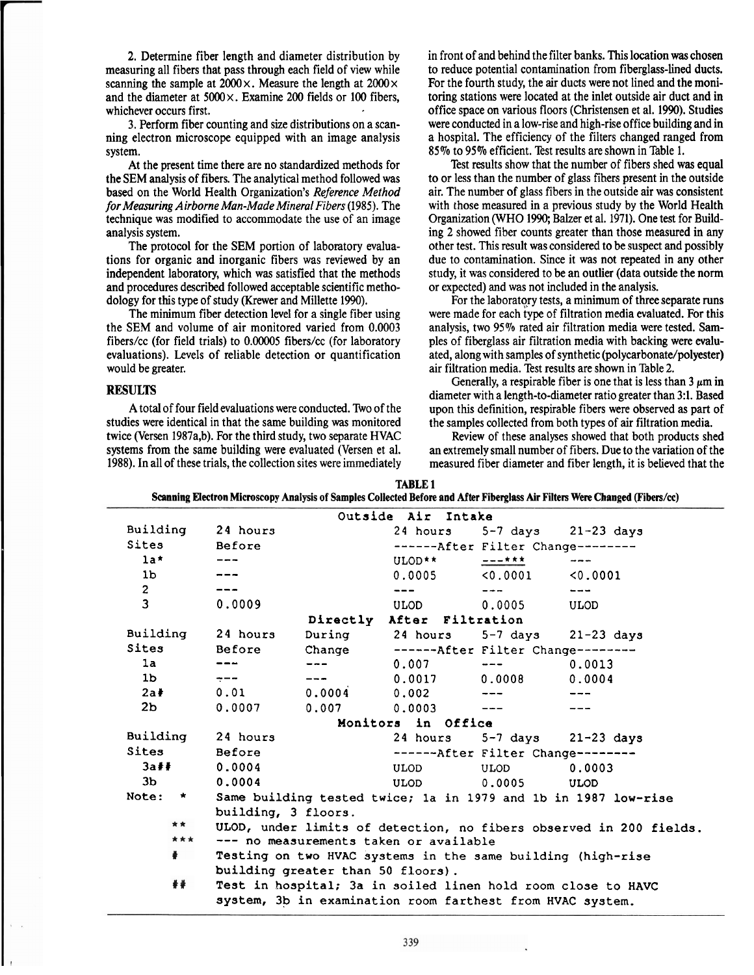2. Determine fiber length and diameter distribution by measuring all fibers that pass through each field of view while scanning the sample at  $2000 \times$ . Measure the length at  $2000 \times$ and the diameter at  $5000 \times$ . Examine 200 fields or 100 fibers, whichever occurs first.

3. Perform fiber counting and size distributions on a scanning electron microscope equipped with an image analysis system.

At the present time there are no standardized methods for the SEM analysis of fibers. The analytical method followed was based on the World Health Organization's *Reference Method for Measuring Airborne Man-Made Mineral Fibers* (1985). The technique was modified to accommodate the use of an image analysis system.

The protocol for the SEM portion of laboratory evaluations for organic and inorganic fibers was reviewed by an independent laboratory, which was satisfied that the methods and procedures described followed acceptable scientific methodology for this type of study (Krewer and Millette 1990).

The minimum fiber detection level for a single fiber using the SEM and volume of air monitored varied from 0.0003 fibers/cc (for field trials) to 0.00005 fibers/cc (for laboratory evaluations). Levels of reliable detection or quantification would be greater.

# **RESULTS**

A total of four field evaluations were conducted. Two of the studies were identical in that the same building **was** monitored twice (Versen 1987a,b). For the third study, two separate HVAC systems from the same building were evaluated (Versen et al. 1988). In all of these trials, the collection sites were immediately in front of and behind the filter banks. This location **was** chosen to reduce potential contamination from fiberglass-lined ducts. For the fourth study, the air ducts were not lined and the monitoring stations were located at the inlet outside air duct and in office space on various floors (Christensen et al. 1990). Studies were conducted in a low-rise and high-rise office building and in a hospital. The efficiency of the filters changed ranged from 85% to 95% efficient. Test results are shown in Table 1.

Test results show that the number of fibers shed was equal to or less than the number of glass fihers present in the outside air. The number of glass fibers in the outside air was consistent with those measured in a previous study by the World Health Organization (WHO 1990; Balzer et al. 1971). One test for Building 2 showed fiber counts greater than those measured in any other test. This result was considered to be suspect and possibly due to contamination. Since it was not repeated in any other study, it was considered to be an outlier (data outside the norm or expected) and **was** not included in the analysis.

For the laboratory tests, a minimum of three separate runs were made for each type of filtration media evaluated. For this analysis, two 95% rated air filtration media were tested. Samples of fiberglass air filtration media with backing were evaluated, along with samples of synthetic (polycarbonate/polyester) air filtration media. Test results are shown in Thble 2.

Generally, a respirable fiber is one that is less than  $3 \mu m$  in diameter with a length-to-diameter ratio greater than 3:l. Based upon this definition, respirable fibers were observed as part of the samples collected from both types of air filtration media.

Review of these analyses showed that both products shed an extremely small number of fibers. Due to the variation of the measured fiber diameter and fiber length, it is believed that the

| <b>TABLE 1</b>                                                                                                              |  |
|-----------------------------------------------------------------------------------------------------------------------------|--|
| Scanning Electron Microscopy Analysis of Samples Collected Before and After Fiberglass Air Filters Were Changed (Fibers/cc) |  |

|                  |                                                              |                                   | Outside Air Intake                                          |                                     |                                                                    |
|------------------|--------------------------------------------------------------|-----------------------------------|-------------------------------------------------------------|-------------------------------------|--------------------------------------------------------------------|
| Building         | 24 hours                                                     |                                   |                                                             |                                     | 24 hours $5-7$ days $21-23$ days                                   |
| Sites            | Before                                                       |                                   |                                                             | ------ After Filter Change--------  |                                                                    |
| $1a*$            |                                                              |                                   | ULOD**                                                      | 一一一大大大                              |                                                                    |
| 1 <sub>b</sub>   |                                                              |                                   | 0.0005                                                      | < 0.0001                            | 0.0001                                                             |
| $\overline{2}$   |                                                              |                                   | $- - -$                                                     | $- - -$                             | $- - -$                                                            |
| $\overline{3}$   | 0.0009                                                       |                                   | ULOD                                                        | 0.0005                              | <b>ULOD</b>                                                        |
|                  |                                                              |                                   | Directly After Filtration                                   |                                     |                                                                    |
| Building         | 24 hours                                                     | During                            | 24 hours                                                    | $5-7$ days                          | $21-23$ days                                                       |
| Sites            | Before                                                       | Change                            | ------ After Filter Change--------                          |                                     |                                                                    |
| 1a               |                                                              | $- - -$                           | 0.007                                                       | $\cdots$                            | 0.0013                                                             |
| 1 <sub>b</sub>   | $\div$ $\div$                                                | $- - -$                           | 0.0017                                                      | 0.0008                              | 0.0004                                                             |
| $2a$ #           | 0.01                                                         | 0.0004                            | 0.002                                                       | $---$                               |                                                                    |
| 2 <sub>b</sub>   | 0.0007                                                       | 0.007                             | 0.0003                                                      | $- - -$                             |                                                                    |
|                  | Monitors in Office                                           |                                   |                                                             |                                     |                                                                    |
| Building         | 24 hours                                                     |                                   | 24 hours $5-7$ days $21-23$ days                            |                                     |                                                                    |
| Sites            | Before                                                       |                                   |                                                             | ------ After Filter Change -------- |                                                                    |
| 3a#              | 0.0004                                                       |                                   | <b>ULOD</b>                                                 | <b>ULOD</b>                         | 0.0003                                                             |
| 3 <sub>b</sub>   | 0.0004                                                       |                                   | ULOD                                                        | 0.0005                              | <b>ULOD</b>                                                        |
| Note:<br>$\star$ |                                                              |                                   |                                                             |                                     | Same building tested twice; la in 1979 and 1b in 1987 low-rise     |
|                  | building, 3 floors.                                          |                                   |                                                             |                                     |                                                                    |
| * *              |                                                              |                                   |                                                             |                                     | ULOD, under limits of detection, no fibers observed in 200 fields. |
| ***              |                                                              |                                   | --- no measurements taken or available                      |                                     |                                                                    |
| $\frac{1}{2}$    |                                                              |                                   | Testing on two HVAC systems in the same building (high-rise |                                     |                                                                    |
|                  |                                                              | building greater than 50 floors). |                                                             |                                     |                                                                    |
| ##               | Test in hospital; 3a in soiled linen hold room close to HAVC |                                   |                                                             |                                     |                                                                    |
|                  |                                                              |                                   | system, 3b in examination room farthest from HVAC system.   |                                     |                                                                    |
|                  |                                                              |                                   |                                                             |                                     |                                                                    |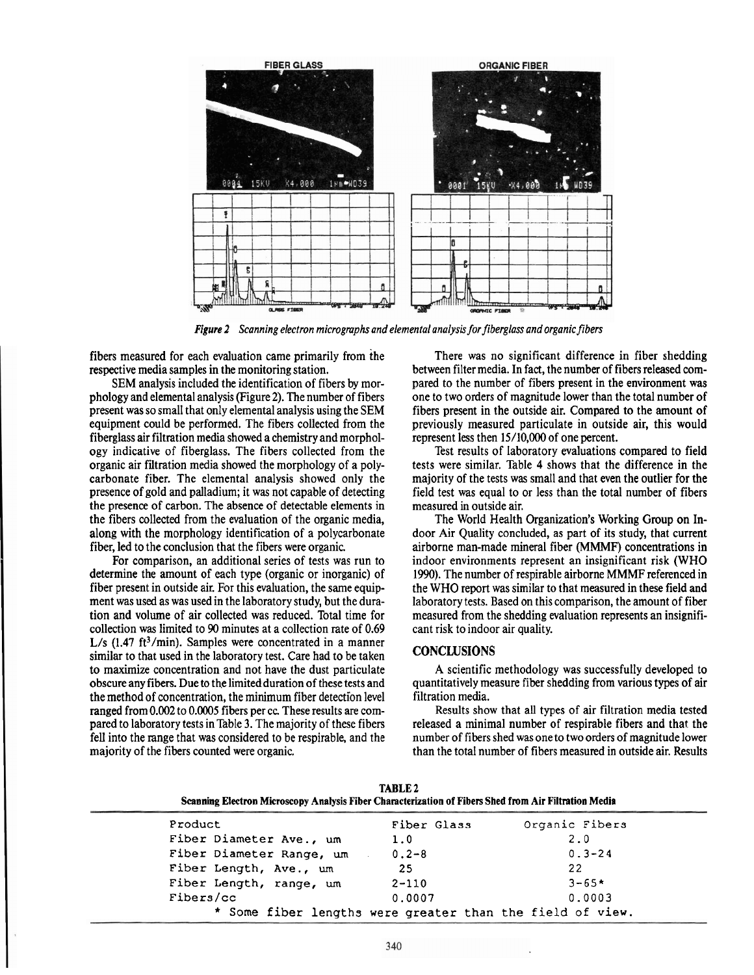

*Figure 2 Scanning electron microgmphs and elemental analysis for fiberglass and organic fibers* 

fibers measured for each evaluation came primarily from the respective media samples in the monitoring station.

SEM analysis included the identification of fibers by morphology and elemental analysis (Figure **2).** The number of fibers present was so small that only elemental analysis using the SEM equipment could be performed. The fibers collected from the fiberglass air filtration media showed a chemistry and morphology indicative of fiberglass. The fibers collected from the organic air filtration media showed the morphology of a polycarbonate fiber. The elemental analysis showed only the presence of gold and palladium; it was not capable of detecting the presence of carbon. The absence of detectable elements in the fibers collected from the evaluation of the organic media, along with the morphology identification of a polycarbonate fiber, led to the conclusion that the fibers were organic.

For comparison, an additional series of tests was run to determine the amount of each type (organic or inorganic) of fiber present in outside air. For this evaluation, the same equipment was used as was used in the laboratory study, but the duration and volume of air collected was reduced. Total time for collection was limited to 90 minutes at a collection rate of 0.69 L/s  $(1.47 \text{ ft}^3/\text{min})$ . Samples were concentrated in a manner similar to that used in the laboratory test. Care had to be taken to maximize concentration and not have the dust particulate obscure any fibers. Due to the limited duration of these tests and the method of concentration, the minimum fiber detection level ranged from 0.002 to 0.0005 fibers per cc. These results are compared to laboratory tests in Table 3. The majority of these fibers fell into the range that was considered to be respirable, and the majority of the fibers counted were organic.

There was no significant difference in fiber shedding between filter media. In fact, the number of fibers released compared to the number of fibers present in the environment was one to two orders of magnitude lower than the total number of fibers present in the outside air. Compared to the amount of previously measured particulate in outside air, this would represent less then 15/10,000 of one percent.

Test results of laboratory evaluations compared to field tests were similar. Table 4 shows that the difference in the majority of the tests was small and that even the outlier for the field test was equal to or less than the total number of fibers measured in outside air.

The World Health Organization's Working Group on Indoor Air Quality concluded, as part of its study, that current airborne man-made mineral fiber **(MMMF)** concentrations in indoor environments represent an insignificant risk (WHO 1990). The number of respirable airborne MMMF referenced in the WHO report was similar to that measured in these field and laboratory tests. Based on this comparison, the amount of fiber measured from the shedding evaluation represents an insignificant risk to indoor air quality.

# **CONCLUSIONS**

A scientific methodology was successfully developed to quantitatively measure fiber shedding from various types of air filtration media.

Results show that all types of air filtration media tested released a minimal number of respirable fibers and that the number of fibers shed was one to two orders of magnitude lower than the total number of fibers measured in outside air. Results

**TABLE 2** 

| Product                                                   | Fiber Glass | Organic Fibers |  |
|-----------------------------------------------------------|-------------|----------------|--|
| Fiber Diameter Ave., um                                   | 1.0         | 2.0            |  |
| Fiber Diameter Range, um                                  | $0.2 - 8$   | $0.3 - 24$     |  |
| Fiber Length, Ave., um                                    | -25         | 22             |  |
| Fiber Length, range, um                                   | $2 - 110$   | $3 - 65*$      |  |
| Fibers/cc                                                 | 0.0007      | 0.0003         |  |
| * Some fiber lengths were greater than the field of view. |             |                |  |